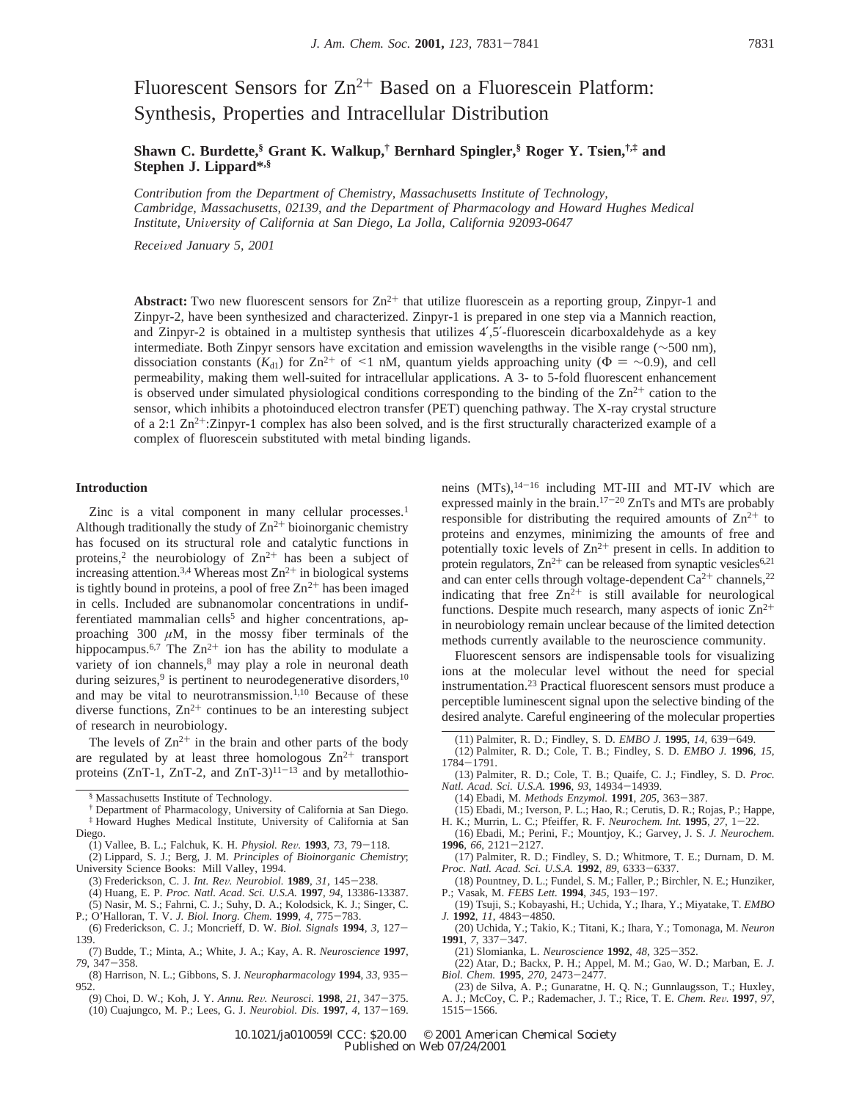# Fluorescent Sensors for  $Zn^{2+}$  Based on a Fluorescein Platform: Synthesis, Properties and Intracellular Distribution

**Shawn C. Burdette,§ Grant K. Walkup,† Bernhard Spingler,§ Roger Y. Tsien,†,‡ and Stephen J. Lippard\*,§**

*Contribution from the Department of Chemistry, Massachusetts Institute of Technology, Cambridge, Massachusetts, 02139, and the Department of Pharmacology and Howard Hughes Medical Institute, Uni*V*ersity of California at San Diego, La Jolla, California 92093-0647*

*Recei*V*ed January 5, 2001*

**Abstract:** Two new fluorescent sensors for  $Zn^{2+}$  that utilize fluorescein as a reporting group, Zinpyr-1 and Zinpyr-2, have been synthesized and characterized. Zinpyr-1 is prepared in one step via a Mannich reaction, and Zinpyr-2 is obtained in a multistep synthesis that utilizes 4′,5′-fluorescein dicarboxaldehyde as a key intermediate. Both Zinpyr sensors have excitation and emission wavelengths in the visible range (∼500 nm), dissociation constants ( $K_{d1}$ ) for Zn<sup>2+</sup> of <1 nM, quantum yields approaching unity ( $\Phi = \sim 0.9$ ), and cell permeability, making them well-suited for intracellular applications. A 3- to 5-fold fluorescent enhancement is observed under simulated physiological conditions corresponding to the binding of the  $\text{Zn}^{2+}$  cation to the sensor, which inhibits a photoinduced electron transfer (PET) quenching pathway. The X-ray crystal structure of a 2:1  $\text{Zn}^2$ +:Zinpyr-1 complex has also been solved, and is the first structurally characterized example of a complex of fluorescein substituted with metal binding ligands.

### **Introduction**

Zinc is a vital component in many cellular processes.<sup>1</sup> Although traditionally the study of  $Zn^{2+}$  bioinorganic chemistry has focused on its structural role and catalytic functions in proteins,<sup>2</sup> the neurobiology of  $Zn^{2+}$  has been a subject of increasing attention.<sup>3,4</sup> Whereas most  $\text{Zn}^{2+}$  in biological systems is tightly bound in proteins, a pool of free  $Zn^{2+}$  has been imaged in cells. Included are subnanomolar concentrations in undifferentiated mammalian cells<sup>5</sup> and higher concentrations, approaching 300  $\mu$ M, in the mossy fiber terminals of the hippocampus.<sup>6,7</sup> The  $Zn^{2+}$  ion has the ability to modulate a variety of ion channels,<sup>8</sup> may play a role in neuronal death during seizures,<sup>9</sup> is pertinent to neurodegenerative disorders, $10$ and may be vital to neurotransmission.<sup>1,10</sup> Because of these diverse functions,  $Zn^{2+}$  continues to be an interesting subject of research in neurobiology.

The levels of  $Zn^{2+}$  in the brain and other parts of the body are regulated by at least three homologous  $\text{Zn}^{2+}$  transport proteins (ZnT-1, ZnT-2, and ZnT-3) $11-13$  and by metallothio-

- † Department of Pharmacology, University of California at San Diego. ‡ Howard Hughes Medical Institute, University of California at San Diego.
- (1) Vallee, B. L.; Falchuk, K. H. *Physiol. Re*V*.* **<sup>1993</sup>**, *<sup>73</sup>*, 79-118.
- (2) Lippard, S. J.; Berg, J. M. *Principles of Bioinorganic Chemistry*; University Science Books: Mill Valley, 1994.<br>
(3) Frederickson, C. J. Int. Rev. Neurobiol. 1989, 31, 145–238.
	-
- (3) Frederickson, C. J. *Int. Re*V*. Neurobiol.* **<sup>1989</sup>**, *<sup>31</sup>*, 145-238. (4) Huang, E. P. *Proc. Natl. Acad. Sci. U.S.A.* **1997**, *94*, 13386-13387. (5) Nasir, M. S.; Fahrni, C. J.; Suhy, D. A.; Kolodsick, K. J.; Singer, C.
- P.; O'Halloran, T. V. *J. Biol. Inorg. Chem.* **<sup>1999</sup>**, *<sup>4</sup>*, 775-783. (6) Frederickson, C. J.; Moncrieff, D. W. *Biol. Signals* **<sup>1994</sup>**, *<sup>3</sup>*, 127- 139.
- (7) Budde, T.; Minta, A.; White, J. A.; Kay, A. R. *Neuroscience* **1997**, *<sup>79</sup>*, 347-358.
- (8) Harrison, N. L.; Gibbons, S. J. *Neuropharmacology* **<sup>1994</sup>**, *<sup>33</sup>*, 935- 952.
- (9) Choi, D. W.; Koh, J. Y. *Annu. Re*V*. Neurosci.* **<sup>1998</sup>**, *<sup>21</sup>*, 347-375. (10) Cuajungco, M. P.; Lees, G. J. *Neurobiol. Dis.* **<sup>1997</sup>**, *<sup>4</sup>*, 137-169.

neins (MTs),14-<sup>16</sup> including MT-III and MT-IV which are expressed mainly in the brain.17-<sup>20</sup> ZnTs and MTs are probably responsible for distributing the required amounts of  $\text{Zn}^{2+}$  to proteins and enzymes, minimizing the amounts of free and potentially toxic levels of  $Zn^{2+}$  present in cells. In addition to protein regulators,  $Zn^{2+}$  can be released from synaptic vesicles<sup>6,21</sup> and can enter cells through voltage-dependent  $Ca^{2+}$  channels,  $2^2$ indicating that free  $Zn^2$ <sup>+</sup> is still available for neurological functions. Despite much research, many aspects of ionic  $\text{Zn}^{2+}$ in neurobiology remain unclear because of the limited detection methods currently available to the neuroscience community.

Fluorescent sensors are indispensable tools for visualizing ions at the molecular level without the need for special instrumentation.23 Practical fluorescent sensors must produce a perceptible luminescent signal upon the selective binding of the desired analyte. Careful engineering of the molecular properties

- (12) Palmiter, R. D.; Cole, T. B.; Findley, S. D. *EMBO J.* **1996**, *15*,
- <sup>1784</sup>-1791.
- (13) Palmiter, R. D.; Cole, T. B.; Quaife, C. J.; Findley, S. D. *Proc. Natl. Acad. Sci. U.S.A.* **<sup>1996</sup>**, *<sup>93</sup>*, 14934-14939.
	- (14) Ebadi, M. *Methods Enzymol.* **<sup>1991</sup>**, *<sup>205</sup>*, 363-387.
- (15) Ebadi, M.; Iverson, P. L.; Hao, R.; Cerutis, D. R.; Rojas, P.; Happe, H. K.; Murrin, L. C.; Pfeiffer, R. F. Neurochem. Int. 1995, 27, 1-22.
- H. K.; Murrin, L. C.; Pfeiffer, R. F. *Neurochem. Int.* **<sup>1995</sup>**, *<sup>27</sup>*, 1-22. (16) Ebadi, M.; Perini, F.; Mountjoy, K.; Garvey, J. S. *J. Neurochem.*
- **<sup>1996</sup>**, *<sup>66</sup>*, 2121-2127. (17) Palmiter, R. D.; Findley, S. D.; Whitmore, T. E.; Durnam, D. M. *Proc. Natl. Acad. Sci. U.S.A.* **<sup>1992</sup>**, *<sup>89</sup>*, 6333-6337.
- (18) Pountney, D. L.; Fundel, S. M.; Faller, P.; Birchler, N. E.; Hunziker, P.; Vasak, M. *FEBS Lett.* **<sup>1994</sup>**, *<sup>345</sup>*, 193-197.
- (19) Tsuji, S.; Kobayashi, H.; Uchida, Y.; Ihara, Y.; Miyatake, T. *EMBO J.* **<sup>1992</sup>**, *<sup>11</sup>*, 4843-4850.
- (20) Uchida, Y.; Takio, K.; Titani, K.; Ihara, Y.; Tomonaga, M. *Neuron* **<sup>1991</sup>**, *<sup>7</sup>*, 337-347.
- (21) Slomianka, L. *Neuroscience* **<sup>1992</sup>**, *<sup>48</sup>*, 325-352.
- (22) Atar, D.; Backx, P. H.; Appel, M. M.; Gao, W. D.; Marban, E. *J. Biol. Chem.* **<sup>1995</sup>**, *<sup>270</sup>*, 2473-2477.

10.1021/ja010059l CCC: \$20.00 © 2001 American Chemical Society Published on Web 07/24/2001

<sup>§</sup> Massachusetts Institute of Technology.

<sup>(11)</sup> Palmiter, R. D.; Findley, S. D. *EMBO J.* **<sup>1995</sup>**, *<sup>14</sup>*, 639-649.

<sup>(23)</sup> de Silva, A. P.; Gunaratne, H. Q. N.; Gunnlaugsson, T.; Huxley, A. J.; McCoy, C. P.; Rademacher, J. T.; Rice, T. E. *Chem. Re*V*.* **<sup>1997</sup>**, *<sup>97</sup>*, <sup>1515</sup>-1566.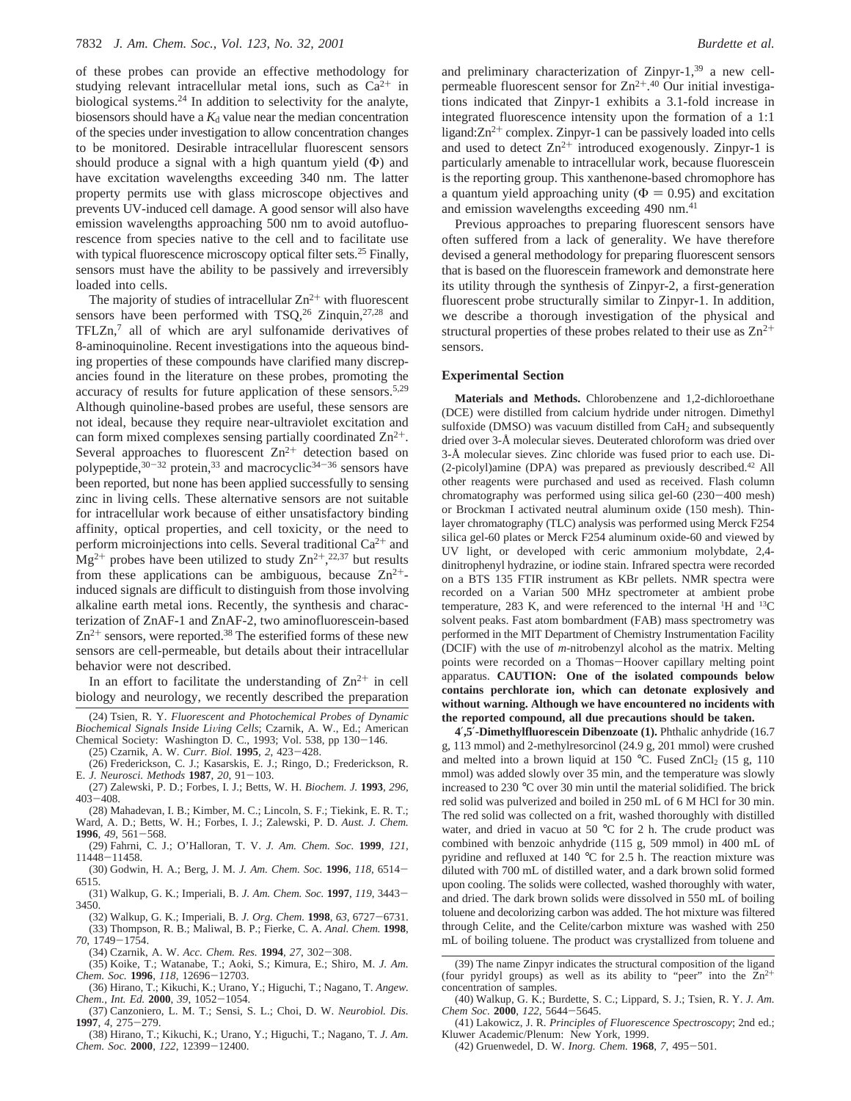of these probes can provide an effective methodology for studying relevant intracellular metal ions, such as  $Ca^{2+}$  in biological systems.24 In addition to selectivity for the analyte, biosensors should have a  $K_d$  value near the median concentration of the species under investigation to allow concentration changes to be monitored. Desirable intracellular fluorescent sensors should produce a signal with a high quantum yield  $(\Phi)$  and have excitation wavelengths exceeding 340 nm. The latter property permits use with glass microscope objectives and prevents UV-induced cell damage. A good sensor will also have emission wavelengths approaching 500 nm to avoid autofluorescence from species native to the cell and to facilitate use with typical fluorescence microscopy optical filter sets.<sup>25</sup> Finally, sensors must have the ability to be passively and irreversibly loaded into cells.

The majority of studies of intracellular  $Zn^{2+}$  with fluorescent sensors have been performed with  $TSQ<sub>1</sub><sup>26</sup> Zinquin<sub>1</sub><sup>27,28</sup>$  and TFLZn,7 all of which are aryl sulfonamide derivatives of 8-aminoquinoline. Recent investigations into the aqueous binding properties of these compounds have clarified many discrepancies found in the literature on these probes, promoting the accuracy of results for future application of these sensors.5,29 Although quinoline-based probes are useful, these sensors are not ideal, because they require near-ultraviolet excitation and can form mixed complexes sensing partially coordinated  $\mathbb{Z}n^{2+}$ . Several approaches to fluorescent  $Zn^{2+}$  detection based on polypeptide,  $30-32$  protein,  $33$  and macrocyclic  $34-36$  sensors have been reported, but none has been applied successfully to sensing zinc in living cells. These alternative sensors are not suitable for intracellular work because of either unsatisfactory binding affinity, optical properties, and cell toxicity, or the need to perform microinjections into cells. Several traditional  $Ca^{2+}$  and  $Mg^{2+}$  probes have been utilized to study  $Zn^{2+},^{22,37}$  but results from these applications can be ambiguous, because  $\text{Zn}^{2+}$ induced signals are difficult to distinguish from those involving alkaline earth metal ions. Recently, the synthesis and characterization of ZnAF-1 and ZnAF-2, two aminofluorescein-based  $Zn^{2+}$  sensors, were reported.<sup>38</sup> The esterified forms of these new sensors are cell-permeable, but details about their intracellular behavior were not described.

In an effort to facilitate the understanding of  $\text{Zn}^{2+}$  in cell biology and neurology, we recently described the preparation

- (27) Zalewski, P. D.; Forbes, I. J.; Betts, W. H. *Biochem. J.* **1993**, *296*, <sup>403</sup>-408.
- (28) Mahadevan, I. B.; Kimber, M. C.; Lincoln, S. F.; Tiekink, E. R. T.; Ward, A. D.; Betts, W. H.; Forbes, I. J.; Zalewski, P. D. *Aust. J. Chem.*
- **<sup>1996</sup>**, *<sup>49</sup>*, 561-568. (29) Fahrni, C. J.; O'Halloran, T. V. *J. Am. Chem. Soc.* **1999**, *121*, <sup>11448</sup>-11458.
- (30) Godwin, H. A.; Berg, J. M. *J. Am. Chem. Soc.* **<sup>1996</sup>**, *<sup>118</sup>*, 6514- 6515.
- (31) Walkup, G. K.; Imperiali, B. *J. Am. Chem. Soc.* **<sup>1997</sup>**, *<sup>119</sup>*, 3443- 3450.
- (32) Walkup, G. K.; Imperiali, B. *J. Org. Chem.* **<sup>1998</sup>**, *<sup>63</sup>*, 6727-6731. (33) Thompson, R. B.; Maliwal, B. P.; Fierke, C. A. *Anal. Chem.* **1998**, *<sup>70</sup>*, 1749-1754.
- (34) Czarnik, A. W. *Acc. Chem. Res.* **<sup>1994</sup>**, *<sup>27</sup>*, 302-308.
- (35) Koike, T.; Watanabe, T.; Aoki, S.; Kimura, E.; Shiro, M. *J. Am. Chem. Soc.* **<sup>1996</sup>**, *<sup>118</sup>*, 12696-12703.
- (36) Hirano, T.; Kikuchi, K.; Urano, Y.; Higuchi, T.; Nagano, T. *Angew. Chem., Int. Ed.* **<sup>2000</sup>**, *<sup>39</sup>*, 1052-1054.
- (37) Canzoniero, L. M. T.; Sensi, S. L.; Choi, D. W. *Neurobiol. Dis.* **<sup>1997</sup>**, *<sup>4</sup>*, 275-279.
- (38) Hirano, T.; Kikuchi, K.; Urano, Y.; Higuchi, T.; Nagano, T. *J. Am. Chem. Soc.* **<sup>2000</sup>**, *<sup>122</sup>*, 12399-12400.

and preliminary characterization of Zinpyr-1, $39$  a new cellpermeable fluorescent sensor for  $\text{Zn}^{2+1,40}$  Our initial investigations indicated that Zinpyr-1 exhibits a 3.1-fold increase in integrated fluorescence intensity upon the formation of a 1:1 ligand: $Zn^{2+}$  complex. Zinpyr-1 can be passively loaded into cells and used to detect  $Zn^{2+}$  introduced exogenously. Zinpyr-1 is particularly amenable to intracellular work, because fluorescein is the reporting group. This xanthenone-based chromophore has a quantum yield approaching unity ( $\Phi = 0.95$ ) and excitation and emission wavelengths exceeding 490 nm.<sup>41</sup>

Previous approaches to preparing fluorescent sensors have often suffered from a lack of generality. We have therefore devised a general methodology for preparing fluorescent sensors that is based on the fluorescein framework and demonstrate here its utility through the synthesis of Zinpyr-2, a first-generation fluorescent probe structurally similar to Zinpyr-1. In addition, we describe a thorough investigation of the physical and structural properties of these probes related to their use as  $\text{Zn}^{2+}$ sensors.

#### **Experimental Section**

**Materials and Methods.** Chlorobenzene and 1,2-dichloroethane (DCE) were distilled from calcium hydride under nitrogen. Dimethyl sulfoxide (DMSO) was vacuum distilled from  $CaH<sub>2</sub>$  and subsequently dried over 3-Å molecular sieves. Deuterated chloroform was dried over 3-Å molecular sieves. Zinc chloride was fused prior to each use. Di- (2-picolyl)amine (DPA) was prepared as previously described.42 All other reagents were purchased and used as received. Flash column chromatography was performed using silica gel-60 (230-400 mesh) or Brockman I activated neutral aluminum oxide (150 mesh). Thinlayer chromatography (TLC) analysis was performed using Merck F254 silica gel-60 plates or Merck F254 aluminum oxide-60 and viewed by UV light, or developed with ceric ammonium molybdate, 2,4 dinitrophenyl hydrazine, or iodine stain. Infrared spectra were recorded on a BTS 135 FTIR instrument as KBr pellets. NMR spectra were recorded on a Varian 500 MHz spectrometer at ambient probe temperature, 283 K, and were referenced to the internal  $\rm{^{1}H}$  and  $\rm{^{13}C}$ solvent peaks. Fast atom bombardment (FAB) mass spectrometry was performed in the MIT Department of Chemistry Instrumentation Facility (DCIF) with the use of *m*-nitrobenzyl alcohol as the matrix. Melting points were recorded on a Thomas-Hoover capillary melting point apparatus. **CAUTION: One of the isolated compounds below contains perchlorate ion, which can detonate explosively and without warning. Although we have encountered no incidents with the reported compound, all due precautions should be taken.**

**4**′**,5**′**-Dimethylfluorescein Dibenzoate (1).** Phthalic anhydride (16.7 g, 113 mmol) and 2-methylresorcinol (24.9 g, 201 mmol) were crushed and melted into a brown liquid at 150 °C. Fused ZnCl<sub>2</sub> (15 g, 110) mmol) was added slowly over 35 min, and the temperature was slowly increased to 230 °C over 30 min until the material solidified. The brick red solid was pulverized and boiled in 250 mL of 6 M HCl for 30 min. The red solid was collected on a frit, washed thoroughly with distilled water, and dried in vacuo at 50 °C for 2 h. The crude product was combined with benzoic anhydride (115 g, 509 mmol) in 400 mL of pyridine and refluxed at 140 °C for 2.5 h. The reaction mixture was diluted with 700 mL of distilled water, and a dark brown solid formed upon cooling. The solids were collected, washed thoroughly with water, and dried. The dark brown solids were dissolved in 550 mL of boiling toluene and decolorizing carbon was added. The hot mixture was filtered through Celite, and the Celite/carbon mixture was washed with 250 mL of boiling toluene. The product was crystallized from toluene and

- (41) Lakowicz, J. R. *Principles of Fluorescence Spectroscopy*; 2nd ed.; Kluwer Academic/Plenum: New York, 1999.
- (42) Gruenwedel, D. W. *Inorg. Chem.* **<sup>1968</sup>**, *<sup>7</sup>*, 495-501.

<sup>(24)</sup> Tsien, R. Y. *Fluorescent and Photochemical Probes of Dynamic Biochemical Signals Inside Li*V*ing Cells*; Czarnik, A. W., Ed.; American Chemical Society: Washington D. C., 1993; Vol. 538, pp 130-146.

<sup>(25)</sup> Czarnik, A. W. *Curr. Biol.* **<sup>1995</sup>**, *<sup>2</sup>*, 423-428.

<sup>(26)</sup> Frederickson, C. J.; Kasarskis, E. J.; Ringo, D.; Frederickson, R. E. *J. Neurosci. Methods* **<sup>1987</sup>**, *<sup>20</sup>*, 91-103.

<sup>(39)</sup> The name Zinpyr indicates the structural composition of the ligand (four pyridyl groups) as well as its ability to "peer" into the  $Zn^{2+}$ concentration of samples.

<sup>(40)</sup> Walkup, G. K.; Burdette, S. C.; Lippard, S. J.; Tsien, R. Y. *J. Am. Chem Soc.* **<sup>2000</sup>**, *<sup>122</sup>*, 5644-5645.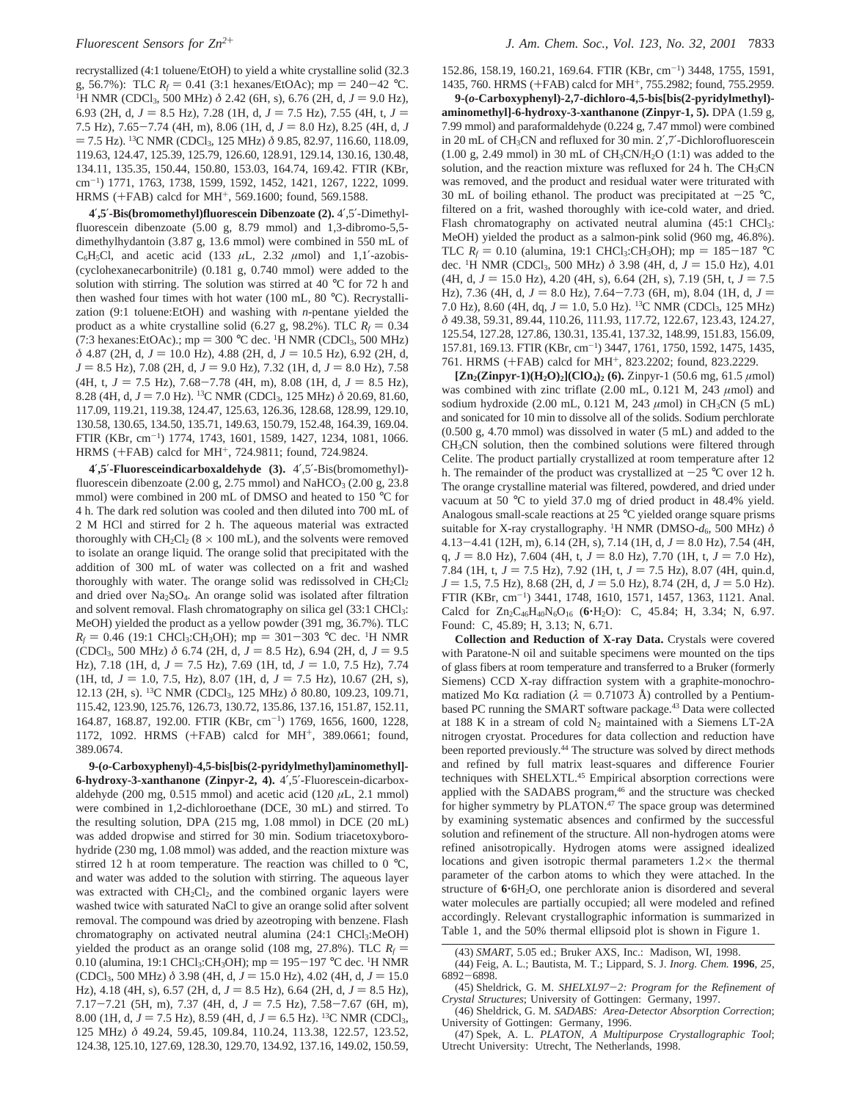recrystallized (4:1 toluene/EtOH) to yield a white crystalline solid (32.3 g, 56.7%): TLC  $R_f = 0.41$  (3:1 hexanes/EtOAc); mp = 240-42 °C. <sup>1</sup>H NMR (CDCl<sub>3</sub>, 500 MHz)  $\delta$  2.42 (6H, s), 6.76 (2H, d, *J* = 9.0 Hz), 6.93 (2H, d,  $J = 8.5$  Hz), 7.28 (1H, d,  $J = 7.5$  Hz), 7.55 (4H, t,  $J =$ 7.5 Hz),  $7.65 - 7.74$  (4H, m), 8.06 (1H, d,  $J = 8.0$  Hz), 8.25 (4H, d, J  $=$  7.5 Hz). <sup>13</sup>C NMR (CDCl<sub>3</sub>, 125 MHz)  $\delta$  9.85, 82.97, 116.60, 118.09, 119.63, 124.47, 125.39, 125.79, 126.60, 128.91, 129.14, 130.16, 130.48, 134.11, 135.35, 150.44, 150.80, 153.03, 164.74, 169.42. FTIR (KBr, cm-1) 1771, 1763, 1738, 1599, 1592, 1452, 1421, 1267, 1222, 1099. HRMS (+FAB) calcd for MH<sup>+</sup>, 569.1600; found, 569.1588.

**4**′**,5**′**-Bis(bromomethyl)fluorescein Dibenzoate (2).** 4′,5′-Dimethylfluorescein dibenzoate (5.00 g, 8.79 mmol) and 1,3-dibromo-5,5 dimethylhydantoin (3.87 g, 13.6 mmol) were combined in 550 mL of C<sub>6</sub>H<sub>5</sub>Cl, and acetic acid (133  $\mu$ L, 2.32  $\mu$ mol) and 1,1<sup>'</sup>-azobis-(cyclohexanecarbonitrile) (0.181 g, 0.740 mmol) were added to the solution with stirring. The solution was stirred at 40 °C for 72 h and then washed four times with hot water (100 mL, 80 °C). Recrystallization (9:1 toluene:EtOH) and washing with *n*-pentane yielded the product as a white crystalline solid (6.27 g, 98.2%). TLC  $R_f = 0.34$ (7:3 hexanes:EtOAc).; mp = 300 °C dec. <sup>1</sup>H NMR (CDCl<sub>3</sub>, 500 MHz) *δ* 4.87 (2H, d, *J* = 10.0 Hz), 4.88 (2H, d, *J* = 10.5 Hz), 6.92 (2H, d,  $J = 8.5$  Hz), 7.08 (2H, d,  $J = 9.0$  Hz), 7.32 (1H, d,  $J = 8.0$  Hz), 7.58  $(4H, t, J = 7.5 \text{ Hz})$ ,  $7.68 - 7.78 \text{ (4H, m)}$ ,  $8.08 \text{ (1H, d, } J = 8.5 \text{ Hz})$ , 8.28 (4H, d,  $J = 7.0$  Hz). <sup>13</sup>C NMR (CDCl<sub>3</sub>, 125 MHz)  $\delta$  20.69, 81.60, 117.09, 119.21, 119.38, 124.47, 125.63, 126.36, 128.68, 128.99, 129.10, 130.58, 130.65, 134.50, 135.71, 149.63, 150.79, 152.48, 164.39, 169.04. FTIR (KBr, cm-<sup>1</sup> ) 1774, 1743, 1601, 1589, 1427, 1234, 1081, 1066. HRMS (+FAB) calcd for MH<sup>+</sup>, 724.9811; found, 724.9824.

**4**′**,5**′**-Fluoresceindicarboxaldehyde (3).** 4′,5′-Bis(bromomethyl) fluorescein dibenzoate  $(2.00 \text{ g}, 2.75 \text{ mmol})$  and NaHCO<sub>3</sub>  $(2.00 \text{ g}, 23.8 \text{ m})$ mmol) were combined in 200 mL of DMSO and heated to 150 °C for 4 h. The dark red solution was cooled and then diluted into 700 mL of 2 M HCl and stirred for 2 h. The aqueous material was extracted thoroughly with  $CH_2Cl_2$  (8  $\times$  100 mL), and the solvents were removed to isolate an orange liquid. The orange solid that precipitated with the addition of 300 mL of water was collected on a frit and washed thoroughly with water. The orange solid was redissolved in  $CH_2Cl_2$ and dried over Na2SO4. An orange solid was isolated after filtration and solvent removal. Flash chromatography on silica gel (33:1 CHCl<sub>3</sub>: MeOH) yielded the product as a yellow powder (391 mg, 36.7%). TLC  $R_f = 0.46$  (19:1 CHCl<sub>3</sub>:CH<sub>3</sub>OH); mp = 301-303 °C dec. <sup>1</sup>H NMR (CDCl<sub>3</sub>, 500 MHz)  $\delta$  6.74 (2H, d,  $J = 8.5$  Hz), 6.94 (2H, d,  $J = 9.5$ Hz), 7.18 (1H, d,  $J = 7.5$  Hz), 7.69 (1H, td,  $J = 1.0$ , 7.5 Hz), 7.74  $(1H, td, J = 1.0, 7.5, Hz), 8.07 (1H, d, J = 7.5 Hz), 10.67 (2H, s),$ 12.13 (2H, s). 13C NMR (CDCl3, 125 MHz) *δ* 80.80, 109.23, 109.71, 115.42, 123.90, 125.76, 126.73, 130.72, 135.86, 137.16, 151.87, 152.11, 164.87, 168.87, 192.00. FTIR (KBr, cm-<sup>1</sup> ) 1769, 1656, 1600, 1228, 1172, 1092. HRMS (+FAB) calcd for MH+, 389.0661; found, 389.0674.

**9-(***o***-Carboxyphenyl)-4,5-bis[bis(2-pyridylmethyl)aminomethyl]- 6-hydroxy-3-xanthanone (Zinpyr-2, 4).** 4′,5′-Fluorescein-dicarboxaldehyde (200 mg,  $0.515$  mmol) and acetic acid (120  $\mu$ L, 2.1 mmol) were combined in 1,2-dichloroethane (DCE, 30 mL) and stirred. To the resulting solution, DPA (215 mg, 1.08 mmol) in DCE (20 mL) was added dropwise and stirred for 30 min. Sodium triacetoxyborohydride (230 mg, 1.08 mmol) was added, and the reaction mixture was stirred 12 h at room temperature. The reaction was chilled to  $0^{\circ}$ C, and water was added to the solution with stirring. The aqueous layer was extracted with  $CH<sub>2</sub>Cl<sub>2</sub>$ , and the combined organic layers were washed twice with saturated NaCl to give an orange solid after solvent removal. The compound was dried by azeotroping with benzene. Flash chromatography on activated neutral alumina (24:1 CHCl3:MeOH) yielded the product as an orange solid (108 mg, 27.8%). TLC  $R_f$  = 0.10 (alumina, 19:1 CHCl<sub>3</sub>:CH<sub>3</sub>OH); mp = 195-197 °C dec. <sup>1</sup>H NMR<br>(CDCl<sub>2</sub> 500 MHz)  $\delta$  3.98 (4H d,  $I = 15.0$  Hz) 4.02 (4H d,  $I = 15.0$  $(CDCl_3, 500 MHz)$   $\delta$  3.98 (4H, d,  $J = 15.0$  Hz), 4.02 (4H, d,  $J = 15.0$ Hz), 4.18 (4H, s), 6.57 (2H, d,  $J = 8.5$  Hz), 6.64 (2H, d,  $J = 8.5$  Hz), 7.17-7.21 (5H, m), 7.37 (4H, d,  $J = 7.5$  Hz), 7.58-7.67 (6H, m), 8.00 (1H, d,  $J = 7.5$  Hz), 8.59 (4H, d,  $J = 6.5$  Hz). <sup>13</sup>C NMR (CDCl<sub>3</sub>, 125 MHz) *δ* 49.24, 59.45, 109.84, 110.24, 113.38, 122.57, 123.52, 124.38, 125.10, 127.69, 128.30, 129.70, 134.92, 137.16, 149.02, 150.59,

152.86, 158.19, 160.21, 169.64. FTIR (KBr, cm-<sup>1</sup> ) 3448, 1755, 1591, 1435, 760. HRMS (+FAB) calcd for MH+, 755.2982; found, 755.2959.

**9-(***o***-Carboxyphenyl)-2,7-dichloro-4,5-bis[bis(2-pyridylmethyl) aminomethyl]-6-hydroxy-3-xanthanone (Zinpyr-1, 5).** DPA (1.59 g, 7.99 mmol) and paraformaldehyde (0.224 g, 7.47 mmol) were combined in 20 mL of CH3CN and refluxed for 30 min. 2′,7′-Dichlorofluorescein  $(1.00 \text{ g}, 2.49 \text{ mmol})$  in 30 mL of CH<sub>3</sub>CN/H<sub>2</sub>O  $(1.1)$  was added to the solution, and the reaction mixture was refluxed for 24 h. The CH<sub>3</sub>CN was removed, and the product and residual water were triturated with 30 mL of boiling ethanol. The product was precipitated at  $-25$  °C, filtered on a frit, washed thoroughly with ice-cold water, and dried. Flash chromatography on activated neutral alumina (45:1 CHCl<sub>3</sub>: MeOH) yielded the product as a salmon-pink solid (960 mg, 46.8%). TLC  $R_f = 0.10$  (alumina, 19:1 CHCl<sub>3</sub>:CH<sub>3</sub>OH); mp = 185-187 °C dec. <sup>1</sup>H NMR (CDCl<sub>3</sub>, 500 MHz)  $\delta$  3.98 (4H, d, *J* = 15.0 Hz), 4.01<br>(4H d, *J* = 15.0 Hz) 4.20 (4H s) 6.64 (2H s) 7.19 (5H t, *J* = 7.5  $(4H, d, J = 15.0 \text{ Hz})$ , 4.20  $(4H, s)$ , 6.64  $(2H, s)$ , 7.19  $(5H, t, J = 7.5 \text{ Hz})$ Hz), 7.36 (4H, d,  $J = 8.0$  Hz), 7.64-7.73 (6H, m), 8.04 (1H, d,  $J =$ 7.0 Hz), 8.60 (4H, dq,  $J = 1.0$ , 5.0 Hz). <sup>13</sup>C NMR (CDCl<sub>3</sub>, 125 MHz) *δ* 49.38, 59.31, 89.44, 110.26, 111.93, 117.72, 122.67, 123.43, 124.27, 125.54, 127.28, 127.86, 130.31, 135.41, 137.32, 148.99, 151.83, 156.09, 157.81, 169.13. FTIR (KBr, cm-<sup>1</sup> ) 3447, 1761, 1750, 1592, 1475, 1435, 761. HRMS (+FAB) calcd for MH+, 823.2202; found, 823.2229.

 $[\text{Zn}_2(\text{Zinpyr-1})(\text{H}_2\text{O})_2]$ (ClO<sub>4</sub>)<sub>2</sub> (6). Zinpyr-1 (50.6 mg, 61.5  $\mu$ mol) was combined with zinc triflate (2.00 mL, 0.121 M, 243  $\mu$ mol) and sodium hydroxide (2.00 mL, 0.121 M, 243 μmol) in CH<sub>3</sub>CN (5 mL) and sonicated for 10 min to dissolve all of the solids. Sodium perchlorate (0.500 g, 4.70 mmol) was dissolved in water (5 mL) and added to the CH3CN solution, then the combined solutions were filtered through Celite. The product partially crystallized at room temperature after 12 h. The remainder of the product was crystallized at  $-25$  °C over 12 h. The orange crystalline material was filtered, powdered, and dried under vacuum at 50 °C to yield 37.0 mg of dried product in 48.4% yield. Analogous small-scale reactions at 25 °C yielded orange square prisms suitable for X-ray crystallography. <sup>1</sup>H NMR (DMSO- $d_6$ , 500 MHz)  $δ$ 4.13-4.41 (12H, m), 6.14 (2H, s), 7.14 (1H, d,  $J = 8.0$  Hz), 7.54 (4H, q,  $J = 8.0$  Hz), 7.604 (4H, t,  $J = 8.0$  Hz), 7.70 (1H, t,  $J = 7.0$  Hz), 7.84 (1H, t, *J* = 7.5 Hz), 7.92 (1H, t, *J* = 7.5 Hz), 8.07 (4H, quin.d,  $J = 1.5, 7.5$  Hz), 8.68 (2H, d,  $J = 5.0$  Hz), 8.74 (2H, d,  $J = 5.0$  Hz). FTIR (KBr, cm-1) 3441, 1748, 1610, 1571, 1457, 1363, 1121. Anal. Calcd for  $Zn_2C_{46}H_{40}N_6O_{16}$  (6<sup>+</sup>H<sub>2</sub>O): C, 45.84; H, 3.34; N, 6.97. Found: C, 45.89; H, 3.13; N, 6.71.

**Collection and Reduction of X-ray Data.** Crystals were covered with Paratone-N oil and suitable specimens were mounted on the tips of glass fibers at room temperature and transferred to a Bruker (formerly Siemens) CCD X-ray diffraction system with a graphite-monochromatized Mo Κα radiation ( $λ = 0.71073$  Å) controlled by a Pentiumbased PC running the SMART software package.<sup>43</sup> Data were collected at 188 K in a stream of cold  $N_2$  maintained with a Siemens LT-2A nitrogen cryostat. Procedures for data collection and reduction have been reported previously.44 The structure was solved by direct methods and refined by full matrix least-squares and difference Fourier techniques with SHELXTL.<sup>45</sup> Empirical absorption corrections were applied with the SADABS program,<sup>46</sup> and the structure was checked for higher symmetry by PLATON.<sup>47</sup> The space group was determined by examining systematic absences and confirmed by the successful solution and refinement of the structure. All non-hydrogen atoms were refined anisotropically. Hydrogen atoms were assigned idealized locations and given isotropic thermal parameters  $1.2 \times$  the thermal parameter of the carbon atoms to which they were attached. In the structure of  $6.6H_2O$ , one perchlorate anion is disordered and several water molecules are partially occupied; all were modeled and refined accordingly. Relevant crystallographic information is summarized in Table 1, and the 50% thermal ellipsoid plot is shown in Figure 1.

(46) Sheldrick, G. M. *SADABS: Area-Detector Absorption Correction*; University of Gottingen: Germany, 1996.

(47) Spek, A. L. *PLATON, A Multipurpose Crystallographic Tool*; Utrecht University: Utrecht, The Netherlands, 1998.

<sup>(43)</sup> *SMART*, 5.05 ed.; Bruker AXS, Inc.: Madison, WI, 1998.

<sup>(44)</sup> Feig, A. L.; Bautista, M. T.; Lippard, S. J. *Inorg. Chem.* **1996**, *25*,  $6892 - 6898.$ <br>(45) Shele

<sup>(45)</sup> Sheldrick, G. M. *SHELXL97*-*2: Program for the Refinement of Crystal Structures*; University of Gottingen: Germany, 1997.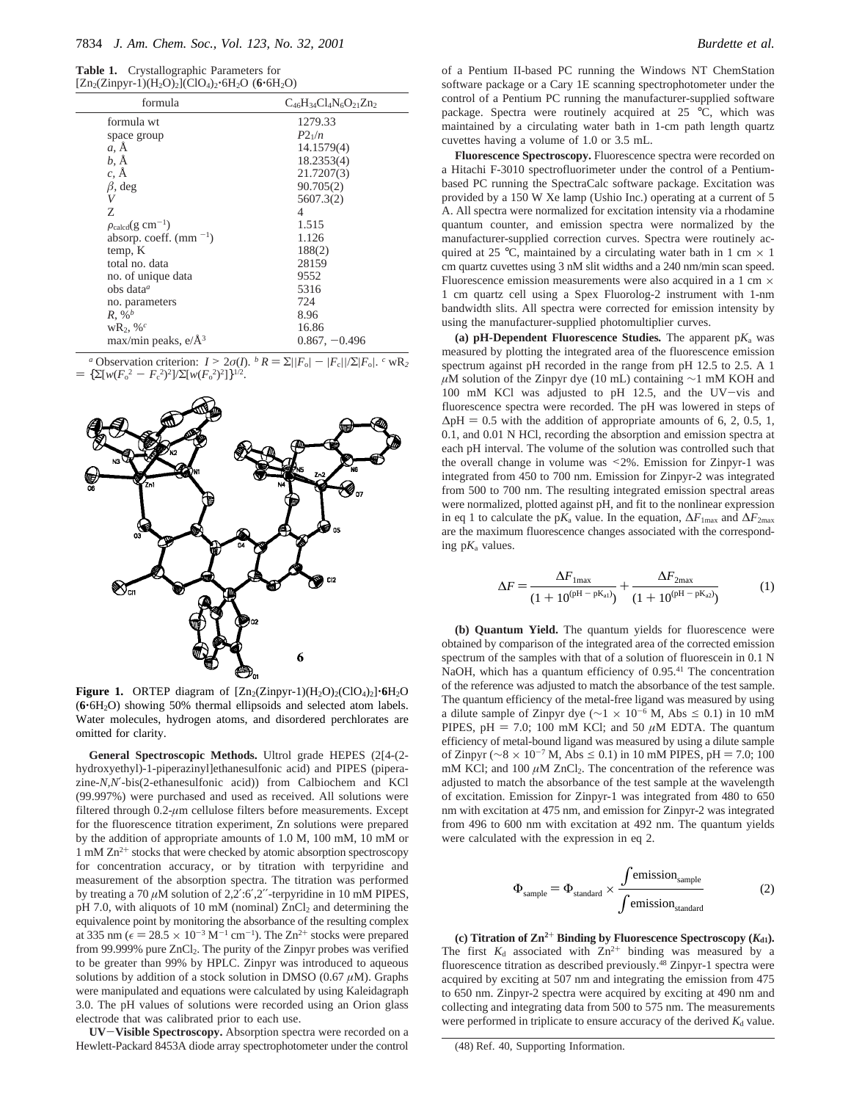| Table 1. | Crystallographic Parameters for                                                                      |
|----------|------------------------------------------------------------------------------------------------------|
|          | $[Zn_2(Zinpyr-1)(H_2O)_2]$ (ClO <sub>4</sub> ) <sub>2</sub> ·6H <sub>2</sub> O (6·6H <sub>2</sub> O) |

| $[Zn_2(Zinpyr-1)(H_2O)_2](ClO_4)_2 \cdot 6H_2O$ (6 $\cdot 6H_2O$ ) |                                 |  |  |
|--------------------------------------------------------------------|---------------------------------|--|--|
| formula                                                            | $C_{46}H_{34}Cl_4N_6O_{21}Zn_2$ |  |  |
| formula wt                                                         | 1279.33                         |  |  |
| space group                                                        | $P2_1/n$                        |  |  |
| a, A                                                               | 14.1579(4)                      |  |  |
| b, Å                                                               | 18.2353(4)                      |  |  |
| c. Å                                                               | 21.7207(3)                      |  |  |
| $\beta$ , deg                                                      | 90.705(2)                       |  |  |
| V                                                                  | 5607.3(2)                       |  |  |
| Z                                                                  | 4                               |  |  |
| $\rho_{\rm{calcd}}(g \text{ cm}^{-1})$                             | 1.515                           |  |  |
| absorp. coeff. $\text{(mm)}$ <sup>-1</sup> )                       | 1.126                           |  |  |
| temp, K                                                            | 188(2)                          |  |  |
| total no. data                                                     | 28159                           |  |  |
| no. of unique data                                                 | 9552                            |  |  |
| obs data $a$                                                       | 5316                            |  |  |
| no. parameters                                                     | 724                             |  |  |
| $R, \%^b$                                                          | 8.96                            |  |  |
| $wR_2$ , % <sup>c</sup>                                            | 16.86                           |  |  |
| max/min peaks, $e/\text{\AA}^3$                                    | $0.867, -0.496$                 |  |  |

*a* Observation criterion:  $I > 2\sigma(I)$ . *b*  $R = \sum ||F_0| - |F_c||/\sum |F_0|$ . *c* wR<sub>2</sub> =  ${\sum}[w(F_0^2 - F_c^2)^2] / {\sum}[w(F_0^2)^2] \}^{1/2}.$ 



**Figure 1.** ORTEP diagram of  $[Zn_2(Zinpyr-1)(H_2O)_2(CIO_4)_2]$ <sup>-6</sup>H<sub>2</sub>O (**6**'6H2O) showing 50% thermal ellipsoids and selected atom labels. Water molecules, hydrogen atoms, and disordered perchlorates are omitted for clarity.

**General Spectroscopic Methods.** Ultrol grade HEPES (2[4-(2 hydroxyethyl)-1-piperazinyl]ethanesulfonic acid) and PIPES (piperazine-*N,N*′-bis(2-ethanesulfonic acid)) from Calbiochem and KCl (99.997%) were purchased and used as received. All solutions were filtered through 0.2-*µ*m cellulose filters before measurements. Except for the fluorescence titration experiment, Zn solutions were prepared by the addition of appropriate amounts of 1.0 M, 100 mM, 10 mM or 1 mM Zn2<sup>+</sup> stocks that were checked by atomic absorption spectroscopy for concentration accuracy, or by titration with terpyridine and measurement of the absorption spectra. The titration was performed by treating a 70 *µ*M solution of 2,2′:6′,2′′-terpyridine in 10 mM PIPES, pH 7.0, with aliquots of 10 mM (nominal)  $ZnCl<sub>2</sub>$  and determining the equivalence point by monitoring the absorbance of the resulting complex at 335 nm ( $\epsilon = 28.5 \times 10^{-3}$  M<sup>-1</sup> cm<sup>-1</sup>). The Zn<sup>2+</sup> stocks were prepared<br>from 99,999% pure ZnCl<sub>2</sub>. The purity of the Zinnyr probes was verified from 99.999% pure  $ZnCl<sub>2</sub>$ . The purity of the Zinpyr probes was verified to be greater than 99% by HPLC. Zinpyr was introduced to aqueous solutions by addition of a stock solution in DMSO (0.67 *µ*M). Graphs were manipulated and equations were calculated by using Kaleidagraph 3.0. The pH values of solutions were recorded using an Orion glass electrode that was calibrated prior to each use.

**UV**-**Visible Spectroscopy.** Absorption spectra were recorded on a Hewlett-Packard 8453A diode array spectrophotometer under the control of a Pentium II-based PC running the Windows NT ChemStation software package or a Cary 1E scanning spectrophotometer under the control of a Pentium PC running the manufacturer-supplied software package. Spectra were routinely acquired at 25 °C, which was maintained by a circulating water bath in 1-cm path length quartz cuvettes having a volume of 1.0 or 3.5 mL.

**Fluorescence Spectroscopy.** Fluorescence spectra were recorded on a Hitachi F-3010 spectrofluorimeter under the control of a Pentiumbased PC running the SpectraCalc software package. Excitation was provided by a 150 W Xe lamp (Ushio Inc.) operating at a current of 5 A. All spectra were normalized for excitation intensity via a rhodamine quantum counter, and emission spectra were normalized by the manufacturer-supplied correction curves. Spectra were routinely acquired at 25 °C, maintained by a circulating water bath in 1 cm  $\times$  1 cm quartz cuvettes using 3 nM slit widths and a 240 nm/min scan speed. Fluorescence emission measurements were also acquired in a 1 cm  $\times$ 1 cm quartz cell using a Spex Fluorolog-2 instrument with 1-nm bandwidth slits. All spectra were corrected for emission intensity by using the manufacturer-supplied photomultiplier curves.

(a)  $pH$ -Dependent Fluorescence Studies. The apparent  $pK_a$  was measured by plotting the integrated area of the fluorescence emission spectrum against pH recorded in the range from pH 12.5 to 2.5. A 1 *µM* solution of the Zinpyr dye (10 mL) containing ∼1 mM KOH and 100 mM KCl was adjusted to pH 12.5, and the UV-vis and fluorescence spectra were recorded. The pH was lowered in steps of  $\Delta$ pH = 0.5 with the addition of appropriate amounts of 6, 2, 0.5, 1, 0.1, and 0.01 N HCl, recording the absorption and emission spectra at each pH interval. The volume of the solution was controlled such that the overall change in volume was <2%. Emission for Zinpyr-1 was integrated from 450 to 700 nm. Emission for Zinpyr-2 was integrated from 500 to 700 nm. The resulting integrated emission spectral areas were normalized, plotted against pH, and fit to the nonlinear expression in eq 1 to calculate the p $K_a$  value. In the equation,  $\Delta F_{1\text{max}}$  and  $\Delta F_{2\text{max}}$ are the maximum fluorescence changes associated with the corresponding  $pK_a$  values.

$$
\Delta F = \frac{\Delta F_{1\text{max}}}{(1 + 10^{(\text{pH} - \text{pK}_{\text{al}})})} + \frac{\Delta F_{2\text{max}}}{(1 + 10^{(\text{pH} - \text{pK}_{\text{al}})})}
$$
(1)

**(b) Quantum Yield.** The quantum yields for fluorescence were obtained by comparison of the integrated area of the corrected emission spectrum of the samples with that of a solution of fluorescein in 0.1 N NaOH, which has a quantum efficiency of 0.95.<sup>41</sup> The concentration of the reference was adjusted to match the absorbance of the test sample. The quantum efficiency of the metal-free ligand was measured by using a dilute sample of Zinpyr dye ( $\sim$ 1 × 10<sup>-6</sup> M, Abs ≤ 0.1) in 10 mM PIPES,  $pH = 7.0$ ; 100 mM KCl; and 50  $\mu$ M EDTA. The quantum efficiency of metal-bound ligand was measured by using a dilute sample of Zinpyr ( $\sim$ 8 × 10<sup>-7</sup> M, Abs ≤ 0.1) in 10 mM PIPES, pH = 7.0; 100 mM KCl; and  $100 \mu$ M ZnCl<sub>2</sub>. The concentration of the reference was adjusted to match the absorbance of the test sample at the wavelength of excitation. Emission for Zinpyr-1 was integrated from 480 to 650 nm with excitation at 475 nm, and emission for Zinpyr-2 was integrated from 496 to 600 nm with excitation at 492 nm. The quantum yields were calculated with the expression in eq 2.

$$
\Phi_{\text{sample}} = \Phi_{\text{standard}} \times \frac{\int \text{emission}_{\text{sample}}}{\int \text{emission}_{\text{standard}}}
$$
 (2)

(c) Titration of  $\mathbb{Z}n^{2+}$  **Binding by Fluorescence Spectroscopy (** $K_{d1}$ **).** The first  $K_d$  associated with  $Zn^{2+}$  binding was measured by a fluorescence titration as described previously.48 Zinpyr-1 spectra were acquired by exciting at 507 nm and integrating the emission from 475 to 650 nm. Zinpyr-2 spectra were acquired by exciting at 490 nm and collecting and integrating data from 500 to 575 nm. The measurements were performed in triplicate to ensure accuracy of the derived  $K_d$  value.

<sup>(48)</sup> Ref. 40, Supporting Information.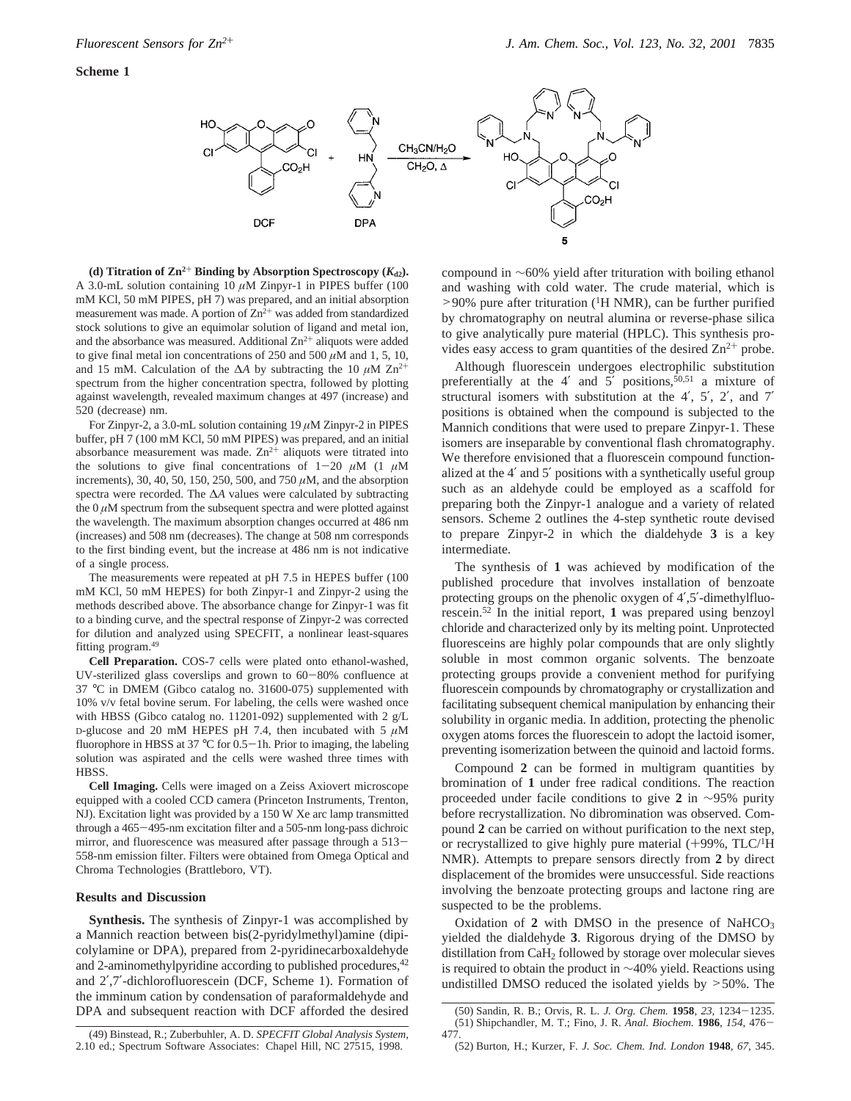

(d) Titration of  $\text{Zn}^{2+}$  **Binding by Absorption Spectroscopy (** $K_{d2}$ **).** A 3.0-mL solution containing 10  $\mu$ M Zinpyr-1 in PIPES buffer (100) mM KCl, 50 mM PIPES, pH 7) was prepared, and an initial absorption measurement was made. A portion of  $Zn^{2+}$  was added from standardized stock solutions to give an equimolar solution of ligand and metal ion, and the absorbance was measured. Additional  $\mathbb{Z}n^{2+}$  aliquots were added to give final metal ion concentrations of 250 and 500  $\mu$ M and 1, 5, 10, and 15 mM. Calculation of the ∆*A* by subtracting the 10 *µ*M Zn2<sup>+</sup> spectrum from the higher concentration spectra, followed by plotting against wavelength, revealed maximum changes at 497 (increase) and 520 (decrease) nm.

For Zinpyr-2, a 3.0-mL solution containing 19 *µ*M Zinpyr-2 in PIPES buffer, pH 7 (100 mM KCl, 50 mM PIPES) was prepared, and an initial absorbance measurement was made.  $Zn^{2+}$  aliquots were titrated into the solutions to give final concentrations of  $1-20 \mu M$  (1  $\mu$ M increments), 30, 40, 50, 150, 250, 500, and 750 *µ*M, and the absorption spectra were recorded. The ∆*A* values were calculated by subtracting the  $0 \mu$ M spectrum from the subsequent spectra and were plotted against the wavelength. The maximum absorption changes occurred at 486 nm (increases) and 508 nm (decreases). The change at 508 nm corresponds to the first binding event, but the increase at 486 nm is not indicative of a single process.

The measurements were repeated at pH 7.5 in HEPES buffer (100 mM KCl, 50 mM HEPES) for both Zinpyr-1 and Zinpyr-2 using the methods described above. The absorbance change for Zinpyr-1 was fit to a binding curve, and the spectral response of Zinpyr-2 was corrected for dilution and analyzed using SPECFIT, a nonlinear least-squares fitting program.49

**Cell Preparation.** COS-7 cells were plated onto ethanol-washed, UV-sterilized glass coverslips and grown to 60-80% confluence at 37 °C in DMEM (Gibco catalog no. 31600-075) supplemented with 10% v/v fetal bovine serum. For labeling, the cells were washed once with HBSS (Gibco catalog no. 11201-092) supplemented with 2 g/L D-glucose and 20 mM HEPES pH 7.4, then incubated with 5 *µ*M fluorophore in HBSS at  $37^{\circ}$ C for  $0.5-1$ h. Prior to imaging, the labeling solution was aspirated and the cells were washed three times with HBSS.

**Cell Imaging.** Cells were imaged on a Zeiss Axiovert microscope equipped with a cooled CCD camera (Princeton Instruments, Trenton, NJ). Excitation light was provided by a 150 W Xe arc lamp transmitted through a 465-495-nm excitation filter and a 505-nm long-pass dichroic mirror, and fluorescence was measured after passage through a 513- 558-nm emission filter. Filters were obtained from Omega Optical and Chroma Technologies (Brattleboro, VT).

#### **Results and Discussion**

**Synthesis.** The synthesis of Zinpyr-1 was accomplished by a Mannich reaction between bis(2-pyridylmethyl)amine (dipicolylamine or DPA), prepared from 2-pyridinecarboxaldehyde and 2-aminomethylpyridine according to published procedures, <sup>42</sup> and 2′,7′-dichlorofluorescein (DCF, Scheme 1). Formation of the imminum cation by condensation of paraformaldehyde and DPA and subsequent reaction with DCF afforded the desired

compound in ∼60% yield after trituration with boiling ethanol and washing with cold water. The crude material, which is  $>90\%$  pure after trituration (<sup>1</sup>H NMR), can be further purified by chromatography on neutral alumina or reverse-phase silica to give analytically pure material (HPLC). This synthesis pro-

vides easy access to gram quantities of the desired  $Zn^{2+}$  probe. Although fluorescein undergoes electrophilic substitution preferentially at the 4' and 5' positions,  $\bar{5}^{0,51}$  a mixture of structural isomers with substitution at the 4′, 5′, 2′, and 7′ positions is obtained when the compound is subjected to the Mannich conditions that were used to prepare Zinpyr-1. These isomers are inseparable by conventional flash chromatography. We therefore envisioned that a fluorescein compound functionalized at the 4′ and 5′ positions with a synthetically useful group such as an aldehyde could be employed as a scaffold for preparing both the Zinpyr-1 analogue and a variety of related sensors. Scheme 2 outlines the 4-step synthetic route devised to prepare Zinpyr-2 in which the dialdehyde **3** is a key intermediate.

The synthesis of **1** was achieved by modification of the published procedure that involves installation of benzoate protecting groups on the phenolic oxygen of 4′,5′-dimethylfluorescein.52 In the initial report, **1** was prepared using benzoyl chloride and characterized only by its melting point. Unprotected fluoresceins are highly polar compounds that are only slightly soluble in most common organic solvents. The benzoate protecting groups provide a convenient method for purifying fluorescein compounds by chromatography or crystallization and facilitating subsequent chemical manipulation by enhancing their solubility in organic media. In addition, protecting the phenolic oxygen atoms forces the fluorescein to adopt the lactoid isomer, preventing isomerization between the quinoid and lactoid forms.

Compound **2** can be formed in multigram quantities by bromination of **1** under free radical conditions. The reaction proceeded under facile conditions to give **2** in ∼95% purity before recrystallization. No dibromination was observed. Compound **2** can be carried on without purification to the next step, or recrystallized to give highly pure material  $(+99\% , TLC<sup>/1</sup>H)$ NMR). Attempts to prepare sensors directly from **2** by direct displacement of the bromides were unsuccessful. Side reactions involving the benzoate protecting groups and lactone ring are suspected to be the problems.

Oxidation of  $2$  with DMSO in the presence of NaHCO<sub>3</sub> yielded the dialdehyde **3**. Rigorous drying of the DMSO by distillation from CaH2 followed by storage over molecular sieves is required to obtain the product in ∼40% yield. Reactions using undistilled DMSO reduced the isolated yields by  $>50\%$ . The

<sup>(50)</sup> Sandin, R. B.; Orvis, R. L. *J. Org. Chem.* **<sup>1958</sup>**, *<sup>23</sup>*, 1234-1235. (51) Shipchandler, M. T.; Fino, J. R. *Anal. Biochem.* **<sup>1986</sup>**, *<sup>154</sup>*, 476- 477.

<sup>(49)</sup> Binstead, R.; Zuberbuhler, A. D. *SPECFIT Global Analysis System*, 2.10 ed.; Spectrum Software Associates: Chapel Hill, NC 27515, 1998.

<sup>(52)</sup> Burton, H.; Kurzer, F. *J. Soc. Chem. Ind. London* **1948**, *67*, 345.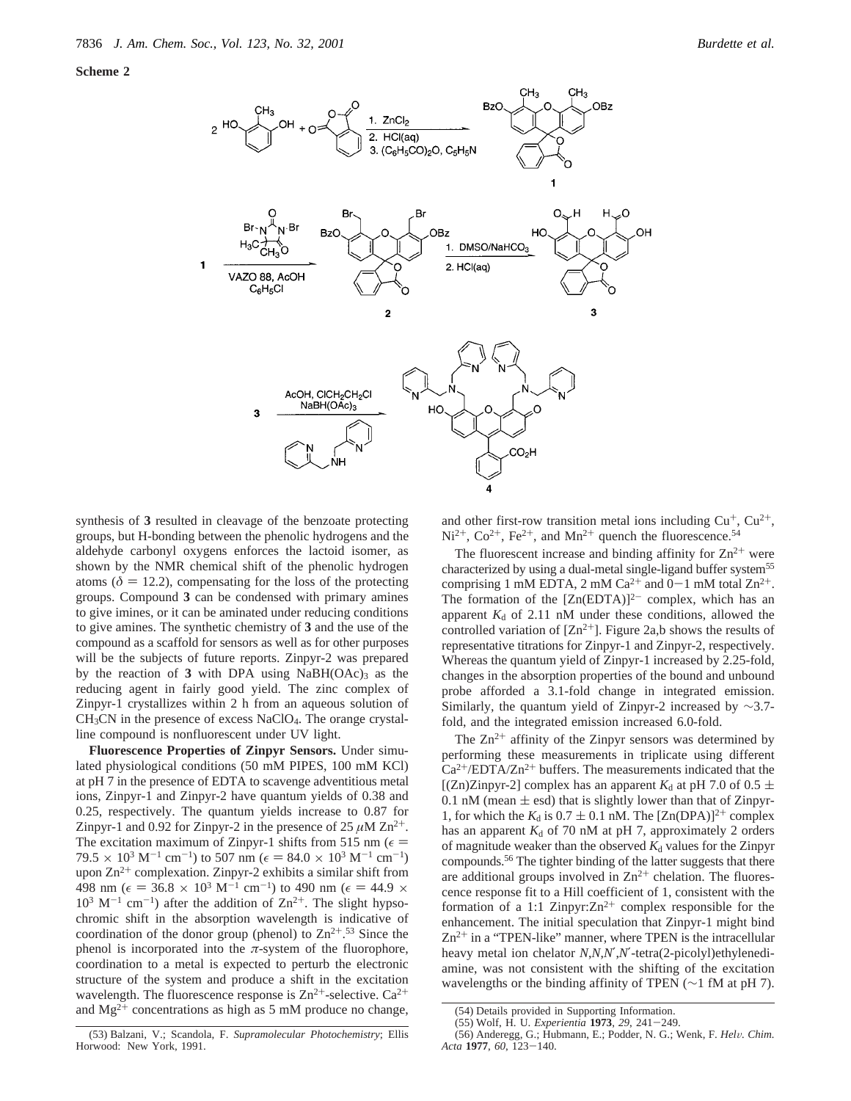



synthesis of **3** resulted in cleavage of the benzoate protecting groups, but H-bonding between the phenolic hydrogens and the aldehyde carbonyl oxygens enforces the lactoid isomer, as shown by the NMR chemical shift of the phenolic hydrogen atoms ( $\delta = 12.2$ ), compensating for the loss of the protecting groups. Compound **3** can be condensed with primary amines to give imines, or it can be aminated under reducing conditions to give amines. The synthetic chemistry of **3** and the use of the compound as a scaffold for sensors as well as for other purposes will be the subjects of future reports. Zinpyr-2 was prepared by the reaction of  $3$  with DPA using NaBH(OAc)<sub>3</sub> as the reducing agent in fairly good yield. The zinc complex of Zinpyr-1 crystallizes within 2 h from an aqueous solution of  $CH<sub>3</sub>CN$  in the presence of excess NaClO<sub>4</sub>. The orange crystalline compound is nonfluorescent under UV light.

**Fluorescence Properties of Zinpyr Sensors.** Under simulated physiological conditions (50 mM PIPES, 100 mM KCl) at pH 7 in the presence of EDTA to scavenge adventitious metal ions, Zinpyr-1 and Zinpyr-2 have quantum yields of 0.38 and 0.25, respectively. The quantum yields increase to 0.87 for Zinpyr-1 and 0.92 for Zinpyr-2 in the presence of  $25 \mu M Zn^{2+}$ . The excitation maximum of Zinpyr-1 shifts from 515 nm ( $\epsilon$  =  $79.5 \times 10^3 \text{ M}^{-1} \text{ cm}^{-1}$ ) to 507 nm ( $\epsilon = 84.0 \times 10^3 \text{ M}^{-1} \text{ cm}^{-1}$ ) upon  $\text{Zn}^{2+}$  complexation. Zinpyr-2 exhibits a similar shift from 498 nm ( $\epsilon = 36.8 \times 10^3 \text{ M}^{-1} \text{ cm}^{-1}$ ) to 490 nm ( $\epsilon = 44.9 \times$  $10^3$  M<sup>-1</sup> cm<sup>-1</sup>) after the addition of Zn<sup>2+</sup>. The slight hypsochromic shift in the absorption wavelength is indicative of coordination of the donor group (phenol) to  $\text{Zn}^{2+0.53}$  Since the phenol is incorporated into the  $\pi$ -system of the fluorophore, coordination to a metal is expected to perturb the electronic structure of the system and produce a shift in the excitation wavelength. The fluorescence response is  $Zn^{2+}$ -selective.  $Ca^{2+}$ and  $Mg^{2+}$  concentrations as high as 5 mM produce no change,

and other first-row transition metal ions including  $Cu^+, Cu^{2+},$  $Ni^{2+}$ ,  $Co^{2+}$ ,  $Fe^{2+}$ , and  $Mn^{2+}$  quench the fluorescence.<sup>54</sup>

The fluorescent increase and binding affinity for  $\text{Zn}^{2+}$  were characterized by using a dual-metal single-ligand buffer system<sup>55</sup> comprising 1 mM EDTA, 2 mM Ca<sup>2+</sup> and 0–1 mM total  $Zn^{2+}$ .<br>The formation of the  $[Zn(\text{EDTA})]^{2-}$  complex, which has an apparent  $K_d$  of 2.11 nM under these conditions, allowed the controlled variation of  $[Zn^{2+}]$ . Figure 2a,b shows the results of representative titrations for Zinpyr-1 and Zinpyr-2, respectively. Whereas the quantum yield of Zinpyr-1 increased by 2.25-fold, changes in the absorption properties of the bound and unbound probe afforded a 3.1-fold change in integrated emission. Similarly, the quantum yield of Zinpyr-2 increased by ∼3.7 fold, and the integrated emission increased 6.0-fold.

The  $Zn^{2+}$  affinity of the Zinpyr sensors was determined by performing these measurements in triplicate using different  $Ca^{2+}/EDTA/Zn^{2+}$  buffers. The measurements indicated that the [(Zn)Zinpyr-2] complex has an apparent  $K_d$  at pH 7.0 of 0.5  $\pm$ 0.1 nM (mean  $\pm$  esd) that is slightly lower than that of Zinpyr-1, for which the  $K_d$  is 0.7  $\pm$  0.1 nM. The [Zn(DPA)]<sup>2+</sup> complex has an apparent  $K_d$  of 70 nM at pH 7, approximately 2 orders of magnitude weaker than the observed  $K_d$  values for the Zinpyr compounds.56 The tighter binding of the latter suggests that there are additional groups involved in  $\text{Zn}^{2+}$  chelation. The fluorescence response fit to a Hill coefficient of 1, consistent with the formation of a 1:1 Zinpyr: $\text{Zn}^{2+}$  complex responsible for the enhancement. The initial speculation that Zinpyr-1 might bind  $Zn^{2+}$  in a "TPEN-like" manner, where TPEN is the intracellular heavy metal ion chelator *N*,*N*,*N*′,*N*′-tetra(2-picolyl)ethylenediamine, was not consistent with the shifting of the excitation wavelengths or the binding affinity of TPEN (∼1 fM at pH 7).

<sup>(54)</sup> Details provided in Supporting Information.

<sup>(55)</sup> Wolf, H. U. *Experientia* **<sup>1973</sup>**, *<sup>29</sup>*, 241-249.

<sup>(56)</sup> Anderegg, G.; Hubmann, E.; Podder, N. G.; Wenk, F. *Hel*V*. Chim. Acta* **<sup>1977</sup>**, *<sup>60</sup>*, 123-140.

<sup>(53)</sup> Balzani, V.; Scandola, F. *Supramolecular Photochemistry*; Ellis Horwood: New York, 1991.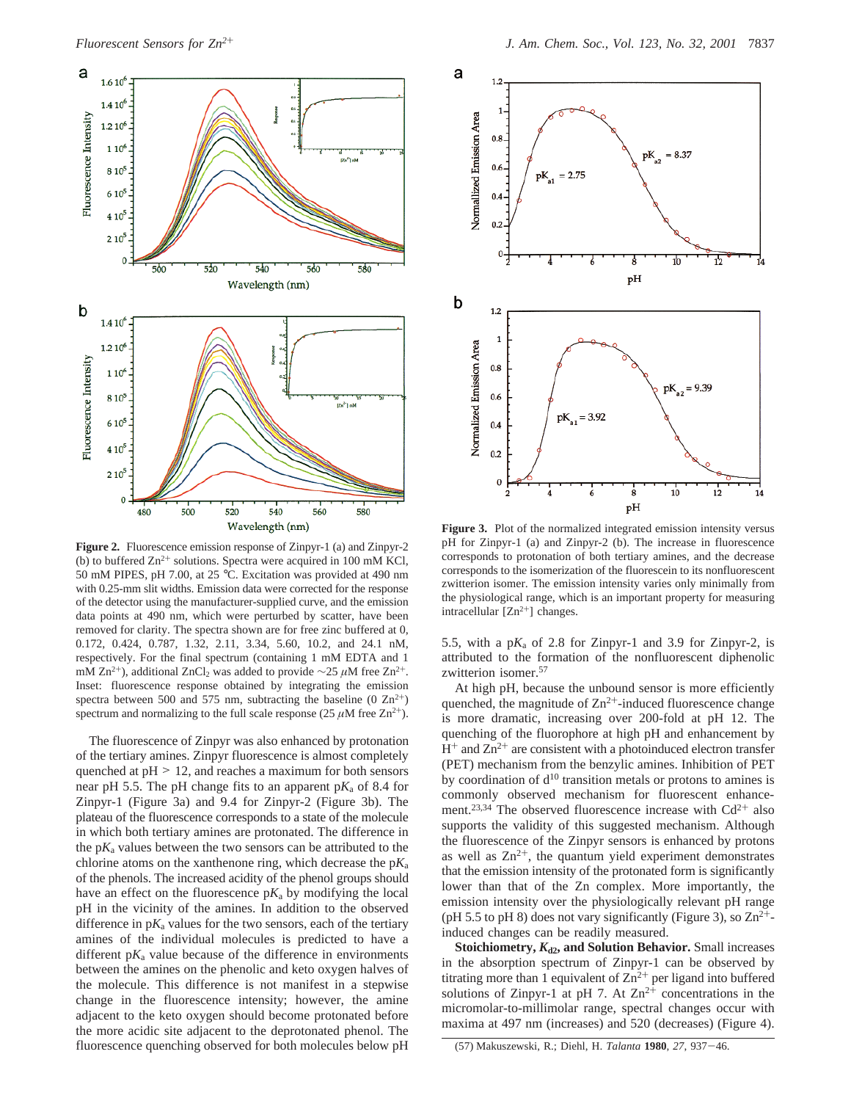

**Figure 2.** Fluorescence emission response of Zinpyr-1 (a) and Zinpyr-2 (b) to buffered  $Zn^{2+}$  solutions. Spectra were acquired in 100 mM KCl, 50 mM PIPES, pH 7.00, at 25 °C. Excitation was provided at 490 nm with 0.25-mm slit widths. Emission data were corrected for the response of the detector using the manufacturer-supplied curve, and the emission data points at 490 nm, which were perturbed by scatter, have been removed for clarity. The spectra shown are for free zinc buffered at 0, 0.172, 0.424, 0.787, 1.32, 2.11, 3.34, 5.60, 10.2, and 24.1 nM, respectively. For the final spectrum (containing 1 mM EDTA and 1 mM Zn<sup>2+</sup>), additional ZnCl<sub>2</sub> was added to provide ∼25 *μ*M free Zn<sup>2+</sup>. Inset: fluorescence response obtained by integrating the emission spectra between 500 and 575 nm, subtracting the baseline  $(0 \text{ Zn}^{2+})$ spectrum and normalizing to the full scale response  $(25 \mu M \text{ free } Zn^{2+})$ .

The fluorescence of Zinpyr was also enhanced by protonation of the tertiary amines. Zinpyr fluorescence is almost completely quenched at  $pH > 12$ , and reaches a maximum for both sensors near pH 5.5. The pH change fits to an apparent p*K*<sup>a</sup> of 8.4 for Zinpyr-1 (Figure 3a) and 9.4 for Zinpyr-2 (Figure 3b). The plateau of the fluorescence corresponds to a state of the molecule in which both tertiary amines are protonated. The difference in the  $pK_a$  values between the two sensors can be attributed to the chlorine atoms on the xanthenone ring, which decrease the p*K*<sup>a</sup> of the phenols. The increased acidity of the phenol groups should have an effect on the fluorescence  $pK_a$  by modifying the local pH in the vicinity of the amines. In addition to the observed difference in  $pK_a$  values for the two sensors, each of the tertiary amines of the individual molecules is predicted to have a different  $pK_a$  value because of the difference in environments between the amines on the phenolic and keto oxygen halves of the molecule. This difference is not manifest in a stepwise change in the fluorescence intensity; however, the amine adjacent to the keto oxygen should become protonated before the more acidic site adjacent to the deprotonated phenol. The fluorescence quenching observed for both molecules below pH



**Figure 3.** Plot of the normalized integrated emission intensity versus pH for Zinpyr-1 (a) and Zinpyr-2 (b). The increase in fluorescence corresponds to protonation of both tertiary amines, and the decrease corresponds to the isomerization of the fluorescein to its nonfluorescent zwitterion isomer. The emission intensity varies only minimally from the physiological range, which is an important property for measuring intracellular  $[Zn^{2+}]$  changes.

5.5, with a  $pK_a$  of 2.8 for Zinpyr-1 and 3.9 for Zinpyr-2, is attributed to the formation of the nonfluorescent diphenolic zwitterion isomer.57

At high pH, because the unbound sensor is more efficiently quenched, the magnitude of  $Zn^{2+}$ -induced fluorescence change is more dramatic, increasing over 200-fold at pH 12. The quenching of the fluorophore at high pH and enhancement by  $H^+$  and  $Zn^{2+}$  are consistent with a photoinduced electron transfer (PET) mechanism from the benzylic amines. Inhibition of PET by coordination of  $d^{10}$  transition metals or protons to amines is commonly observed mechanism for fluorescent enhancement.<sup>23,34</sup> The observed fluorescence increase with  $Cd^{2+}$  also supports the validity of this suggested mechanism. Although the fluorescence of the Zinpyr sensors is enhanced by protons as well as  $Zn^{2+}$ , the quantum yield experiment demonstrates that the emission intensity of the protonated form is significantly lower than that of the Zn complex. More importantly, the emission intensity over the physiologically relevant pH range (pH 5.5 to pH 8) does not vary significantly (Figure 3), so  $\text{Zn}^{2+}$ induced changes can be readily measured.

**Stoichiometry,** *K***d2, and Solution Behavior.** Small increases in the absorption spectrum of Zinpyr-1 can be observed by titrating more than 1 equivalent of  $Zn^{2+}$  per ligand into buffered solutions of Zinpyr-1 at pH 7. At  $\text{Zn}^{2+}$  concentrations in the micromolar-to-millimolar range, spectral changes occur with maxima at 497 nm (increases) and 520 (decreases) (Figure 4).

<sup>(57)</sup> Makuszewski, R.; Diehl, H. *Talanta* **<sup>1980</sup>**, *<sup>27</sup>*, 937-46.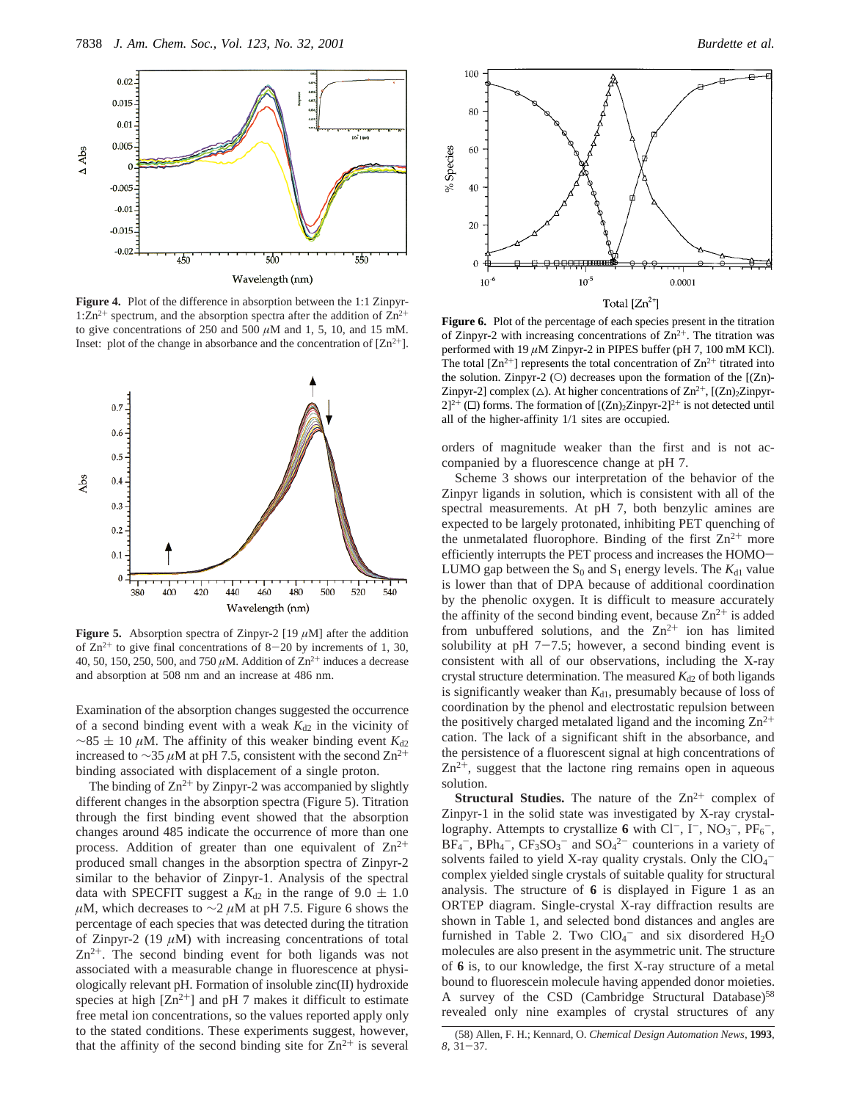

**Figure 4.** Plot of the difference in absorption between the 1:1 Zinpyr-1: $\text{Zn}^{2+}$  spectrum, and the absorption spectra after the addition of  $\text{Zn}^{2+}$ to give concentrations of 250 and 500  $\mu$ M and 1, 5, 10, and 15 mM. Inset: plot of the change in absorbance and the concentration of  $[Zn^{2+}]$ .



**Figure 5.** Absorption spectra of Zinpyr-2 [19  $\mu$ M] after the addition of  $Zn^{2+}$  to give final concentrations of 8-20 by increments of 1, 30, 40, 50, 150, 250, 500, and 750  $\mu$ M. Addition of Zn<sup>2+</sup> induces a decrease and absorption at 508 nm and an increase at 486 nm.

Examination of the absorption changes suggested the occurrence of a second binding event with a weak  $K_{d2}$  in the vicinity of  $\sim$ 85 ± 10  $\mu$ M. The affinity of this weaker binding event *K*<sub>d2</sub> increased to ∼35 *µ*M at pH 7.5, consistent with the second Zn2<sup>+</sup> binding associated with displacement of a single proton.

The binding of  $Zn^{2+}$  by Zinpyr-2 was accompanied by slightly different changes in the absorption spectra (Figure 5). Titration through the first binding event showed that the absorption changes around 485 indicate the occurrence of more than one process. Addition of greater than one equivalent of  $\text{Zn}^{2+}$ produced small changes in the absorption spectra of Zinpyr-2 similar to the behavior of Zinpyr-1. Analysis of the spectral data with SPECFIT suggest a  $K_{d2}$  in the range of 9.0  $\pm$  1.0 *µ*M, which decreases to ∼2 *µ*M at pH 7.5. Figure 6 shows the percentage of each species that was detected during the titration of Zinpyr-2 (19 *µ*M) with increasing concentrations of total  $Zn^{2+}$ . The second binding event for both ligands was not associated with a measurable change in fluorescence at physiologically relevant pH. Formation of insoluble zinc(II) hydroxide species at high  $[Zn^{2+}]$  and pH 7 makes it difficult to estimate free metal ion concentrations, so the values reported apply only to the stated conditions. These experiments suggest, however, that the affinity of the second binding site for  $\text{Zn}^{2+}$  is several



**Figure 6.** Plot of the percentage of each species present in the titration of Zinpyr-2 with increasing concentrations of  $\text{Zn}^{2+}$ . The titration was performed with 19  $\mu$ M Zinpyr-2 in PIPES buffer (pH 7, 100 mM KCl). The total  $[Zn^{2+}]$  represents the total concentration of  $Zn^{2+}$  titrated into the solution. Zinpyr-2 (O) decreases upon the formation of the  $[(Zn)$ -Zinpyr-2] complex ( $\triangle$ ). At higher concentrations of  $\text{Zn}^{2+}$ , [ $(\text{Zn})_2\text{Zinpyr}$ - $2]^{2+}$  ( $\square$ ) forms. The formation of  $[(\text{Zn})_2\text{Zinpyr-2}]^{2+}$  is not detected until all of the higher-affinity 1/1 sites are occupied.

orders of magnitude weaker than the first and is not accompanied by a fluorescence change at pH 7.

Scheme 3 shows our interpretation of the behavior of the Zinpyr ligands in solution, which is consistent with all of the spectral measurements. At pH 7, both benzylic amines are expected to be largely protonated, inhibiting PET quenching of the unmetalated fluorophore. Binding of the first  $\text{Zn}^{2+}$  more efficiently interrupts the PET process and increases the HOMO-LUMO gap between the  $S_0$  and  $S_1$  energy levels. The  $K_{d1}$  value is lower than that of DPA because of additional coordination by the phenolic oxygen. It is difficult to measure accurately the affinity of the second binding event, because  $Zn^{2+}$  is added from unbuffered solutions, and the  $Zn^{2+}$  ion has limited solubility at pH  $7-7.5$ ; however, a second binding event is consistent with all of our observations, including the X-ray crystal structure determination. The measured  $K_{d2}$  of both ligands is significantly weaker than  $K_{d1}$ , presumably because of loss of coordination by the phenol and electrostatic repulsion between the positively charged metalated ligand and the incoming  $\text{Zn}^{2+}$ cation. The lack of a significant shift in the absorbance, and the persistence of a fluorescent signal at high concentrations of  $Zn^{2+}$ , suggest that the lactone ring remains open in aqueous solution.

**Structural Studies.** The nature of the Zn<sup>2+</sup> complex of Zinpyr-1 in the solid state was investigated by X-ray crystallography. Attempts to crystallize 6 with  $Cl^-$ ,  $I^-$ ,  $NO_3^-$ ,  $PF_6^-$ ,  $BF_4^-$ ,  $BPh_4^-$ ,  $CF_3SO_3^-$  and  $SO_4^{2-}$  counterions in a variety of solvents failed to yield X-ray quality crystals. Only the  $ClO<sub>4</sub>$ complex yielded single crystals of suitable quality for structural analysis. The structure of **6** is displayed in Figure 1 as an ORTEP diagram. Single-crystal X-ray diffraction results are shown in Table 1, and selected bond distances and angles are furnished in Table 2. Two  $ClO<sub>4</sub><sup>-</sup>$  and six disordered  $H<sub>2</sub>O$ molecules are also present in the asymmetric unit. The structure of **6** is, to our knowledge, the first X-ray structure of a metal bound to fluorescein molecule having appended donor moieties. A survey of the CSD (Cambridge Structural Database)<sup>58</sup> revealed only nine examples of crystal structures of any

<sup>(58)</sup> Allen, F. H.; Kennard, O. *Chemical Design Automation News*, **1993**, *<sup>8</sup>*, 31-37.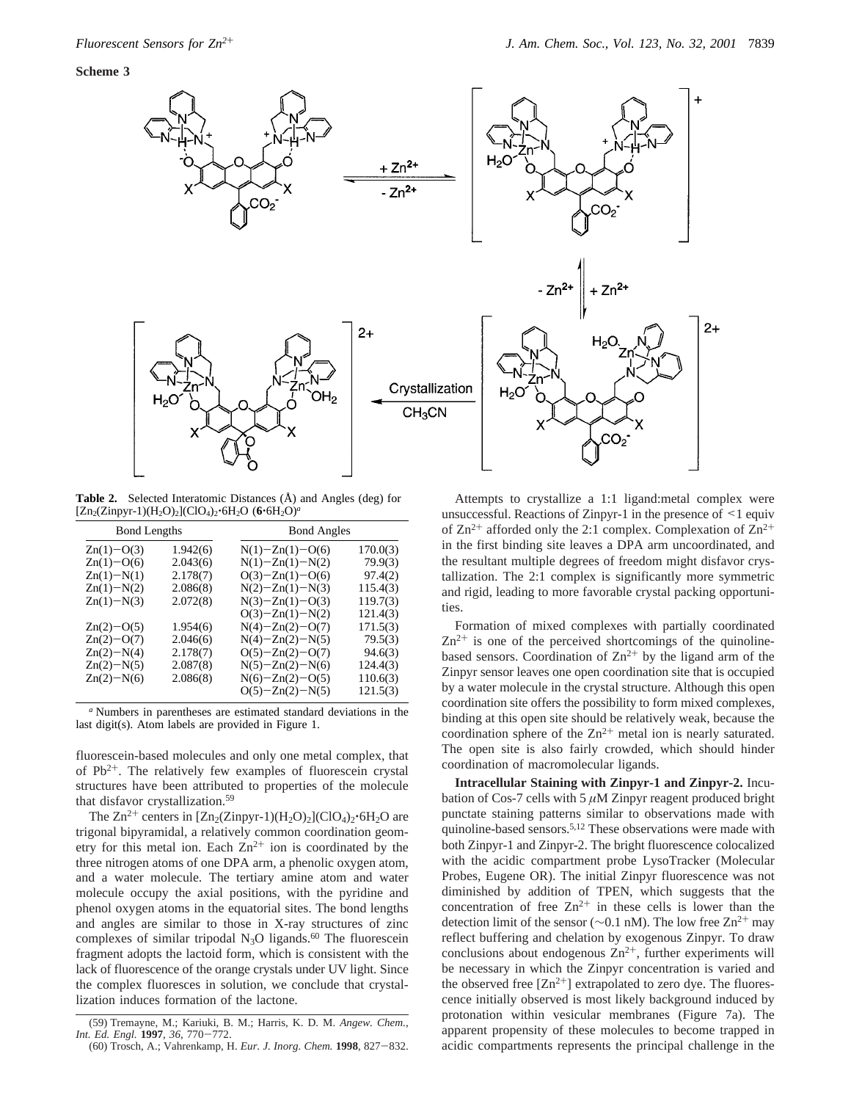

**Table 2.** Selected Interatomic Distances (Å) and Angles (deg) for [Zn2(Zinpyr-1)(H2O)2](ClO4)2'6H2O (**6**'6H2O)*<sup>a</sup>*

| <b>Bond Lengths</b> |          | <b>Bond Angles</b>    |          |  |
|---------------------|----------|-----------------------|----------|--|
| $Zn(1)-O(3)$        | 1.942(6) | $N(1) - Zn(1) - O(6)$ | 170.0(3) |  |
| $Zn(1)-O(6)$        | 2.043(6) | $N(1) - Zn(1) - N(2)$ | 79.9(3)  |  |
| $Zn(1)-N(1)$        | 2.178(7) | $O(3) - Zn(1) - O(6)$ | 97.4(2)  |  |
| $Zn(1)-N(2)$        | 2.086(8) | $N(2) - Zn(1) - N(3)$ | 115.4(3) |  |
| $Zn(1)-N(3)$        | 2.072(8) | $N(3)-Zn(1)-O(3)$     | 119.7(3) |  |
|                     |          | $O(3) - Zn(1) - N(2)$ | 121.4(3) |  |
| $Zn(2)-O(5)$        | 1.954(6) | $N(4)-Zn(2)-O(7)$     | 171.5(3) |  |
| $Zn(2)-O(7)$        | 2.046(6) | $N(4) - Zn(2) - N(5)$ | 79.5(3)  |  |
| $Zn(2)-N(4)$        | 2.178(7) | $O(5) - Zn(2) - O(7)$ | 94.6(3)  |  |
| $Zn(2)-N(5)$        | 2.087(8) | $N(5)-Zn(2)-N(6)$     | 124.4(3) |  |
| $Zn(2)-N(6)$        | 2.086(8) | $N(6)-Zn(2)-O(5)$     | 110.6(3) |  |
|                     |          | $O(5) - Zn(2) - N(5)$ | 121.5(3) |  |

*<sup>a</sup>* Numbers in parentheses are estimated standard deviations in the last digit(s). Atom labels are provided in Figure 1.

fluorescein-based molecules and only one metal complex, that of  $Pb^{2+}$ . The relatively few examples of fluorescein crystal structures have been attributed to properties of the molecule that disfavor crystallization.59

The  $Zn^{2+}$  centers in  $[Zn_2(Zinpyr-1)(H_2O)_2]$ (ClO<sub>4</sub>)<sub>2</sub>·6H<sub>2</sub>O are trigonal bipyramidal, a relatively common coordination geometry for this metal ion. Each  $Zn^{2+}$  ion is coordinated by the three nitrogen atoms of one DPA arm, a phenolic oxygen atom, and a water molecule. The tertiary amine atom and water molecule occupy the axial positions, with the pyridine and phenol oxygen atoms in the equatorial sites. The bond lengths and angles are similar to those in X-ray structures of zinc complexes of similar tripodal  $N_3O$  ligands.<sup>60</sup> The fluorescein fragment adopts the lactoid form, which is consistent with the lack of fluorescence of the orange crystals under UV light. Since the complex fluoresces in solution, we conclude that crystallization induces formation of the lactone.

Attempts to crystallize a 1:1 ligand:metal complex were unsuccessful. Reactions of Zinpyr-1 in the presence of <1 equiv of  $Zn^{2+}$  afforded only the 2:1 complex. Complexation of  $Zn^{2+}$ in the first binding site leaves a DPA arm uncoordinated, and the resultant multiple degrees of freedom might disfavor crystallization. The 2:1 complex is significantly more symmetric and rigid, leading to more favorable crystal packing opportunities.

Formation of mixed complexes with partially coordinated  $Zn^{2+}$  is one of the perceived shortcomings of the quinolinebased sensors. Coordination of  $\mathbb{Z}n^{2+}$  by the ligand arm of the Zinpyr sensor leaves one open coordination site that is occupied by a water molecule in the crystal structure. Although this open coordination site offers the possibility to form mixed complexes, binding at this open site should be relatively weak, because the coordination sphere of the  $Zn^{2+}$  metal ion is nearly saturated. The open site is also fairly crowded, which should hinder coordination of macromolecular ligands.

**Intracellular Staining with Zinpyr-1 and Zinpyr-2.** Incubation of Cos-7 cells with 5 *µ*M Zinpyr reagent produced bright punctate staining patterns similar to observations made with quinoline-based sensors.<sup>5,12</sup> These observations were made with both Zinpyr-1 and Zinpyr-2. The bright fluorescence colocalized with the acidic compartment probe LysoTracker (Molecular Probes, Eugene OR). The initial Zinpyr fluorescence was not diminished by addition of TPEN, which suggests that the concentration of free  $Zn^{2+}$  in these cells is lower than the detection limit of the sensor ( $\sim$ 0.1 nM). The low free Zn<sup>2+</sup> may reflect buffering and chelation by exogenous Zinpyr. To draw conclusions about endogenous  $\text{Zn}^{2+}$ , further experiments will be necessary in which the Zinpyr concentration is varied and the observed free  $[Zn^{2+}]$  extrapolated to zero dye. The fluorescence initially observed is most likely background induced by protonation within vesicular membranes (Figure 7a). The apparent propensity of these molecules to become trapped in acidic compartments represents the principal challenge in the

<sup>(59)</sup> Tremayne, M.; Kariuki, B. M.; Harris, K. D. M. *Angew. Chem., Int. Ed. Engl.* **<sup>1997</sup>**, *<sup>36</sup>*, 770-772.

<sup>(60)</sup> Trosch, A.; Vahrenkamp, H. *Eur. J. Inorg. Chem.* **<sup>1998</sup>**, 827-832.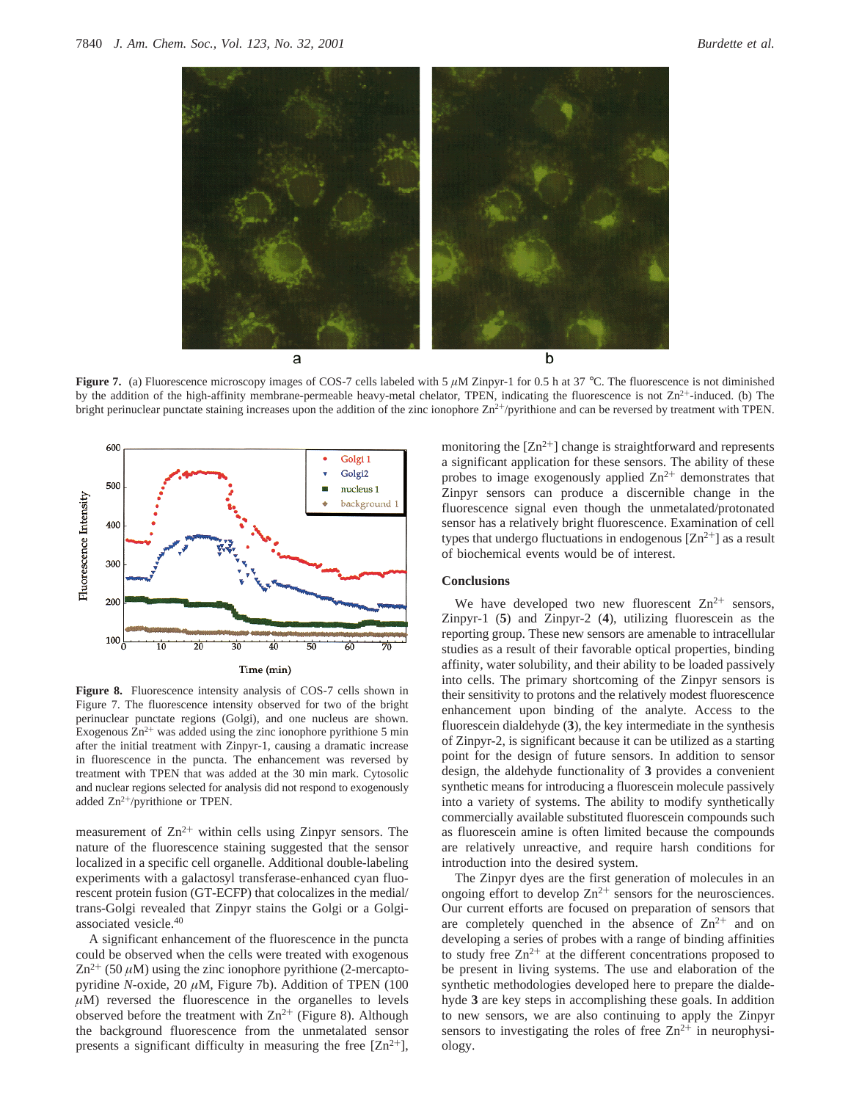

**Figure 7.** (a) Fluorescence microscopy images of COS-7 cells labeled with 5  $\mu$ M Zinpyr-1 for 0.5 h at 37 °C. The fluorescence is not diminished by the addition of the high-affinity membrane-permeable heavy-metal chelator, TPEN, indicating the fluorescence is not  $Zn^{2+}$ -induced. (b) The bright perinuclear punctate staining increases upon the addition of the zinc ionophore  $\text{Zn}^{2+}/\text{pyr}$  ithione and can be reversed by treatment with TPEN.



**Figure 8.** Fluorescence intensity analysis of COS-7 cells shown in Figure 7. The fluorescence intensity observed for two of the bright perinuclear punctate regions (Golgi), and one nucleus are shown. Exogenous  $Zn^{2+}$  was added using the zinc ionophore pyrithione 5 min after the initial treatment with Zinpyr-1, causing a dramatic increase in fluorescence in the puncta. The enhancement was reversed by treatment with TPEN that was added at the 30 min mark. Cytosolic and nuclear regions selected for analysis did not respond to exogenously added  $Zn^{2+}/pyr$ ithione or TPEN.

measurement of  $Zn^{2+}$  within cells using Zinpyr sensors. The nature of the fluorescence staining suggested that the sensor localized in a specific cell organelle. Additional double-labeling experiments with a galactosyl transferase-enhanced cyan fluorescent protein fusion (GT-ECFP) that colocalizes in the medial/ trans-Golgi revealed that Zinpyr stains the Golgi or a Golgiassociated vesicle.40

A significant enhancement of the fluorescence in the puncta could be observed when the cells were treated with exogenous  $Zn^{2+}$  (50  $\mu$ M) using the zinc ionophore pyrithione (2-mercaptopyridine *N*-oxide, 20 *µ*M, Figure 7b). Addition of TPEN (100  $\mu$ M) reversed the fluorescence in the organelles to levels observed before the treatment with  $\text{Zn}^{2+}$  (Figure 8). Although the background fluorescence from the unmetalated sensor presents a significant difficulty in measuring the free  $[Zn^{2+}]$ ,

monitoring the  $[Zn^{2+}]$  change is straightforward and represents a significant application for these sensors. The ability of these probes to image exogenously applied  $\text{Zn}^{2+}$  demonstrates that Zinpyr sensors can produce a discernible change in the fluorescence signal even though the unmetalated/protonated sensor has a relatively bright fluorescence. Examination of cell types that undergo fluctuations in endogenous  $[Zn^{2+}]$  as a result of biochemical events would be of interest.

## **Conclusions**

We have developed two new fluorescent  $Zn^{2+}$  sensors, Zinpyr-1 (**5**) and Zinpyr-2 (**4**), utilizing fluorescein as the reporting group. These new sensors are amenable to intracellular studies as a result of their favorable optical properties, binding affinity, water solubility, and their ability to be loaded passively into cells. The primary shortcoming of the Zinpyr sensors is their sensitivity to protons and the relatively modest fluorescence enhancement upon binding of the analyte. Access to the fluorescein dialdehyde (**3**), the key intermediate in the synthesis of Zinpyr-2, is significant because it can be utilized as a starting point for the design of future sensors. In addition to sensor design, the aldehyde functionality of **3** provides a convenient synthetic means for introducing a fluorescein molecule passively into a variety of systems. The ability to modify synthetically commercially available substituted fluorescein compounds such as fluorescein amine is often limited because the compounds are relatively unreactive, and require harsh conditions for introduction into the desired system.

The Zinpyr dyes are the first generation of molecules in an ongoing effort to develop  $Zn^{2+}$  sensors for the neurosciences. Our current efforts are focused on preparation of sensors that are completely quenched in the absence of  $\text{Zn}^{2+}$  and on developing a series of probes with a range of binding affinities to study free  $Zn^{2+}$  at the different concentrations proposed to be present in living systems. The use and elaboration of the synthetic methodologies developed here to prepare the dialdehyde **3** are key steps in accomplishing these goals. In addition to new sensors, we are also continuing to apply the Zinpyr sensors to investigating the roles of free  $Zn^{2+}$  in neurophysiology.